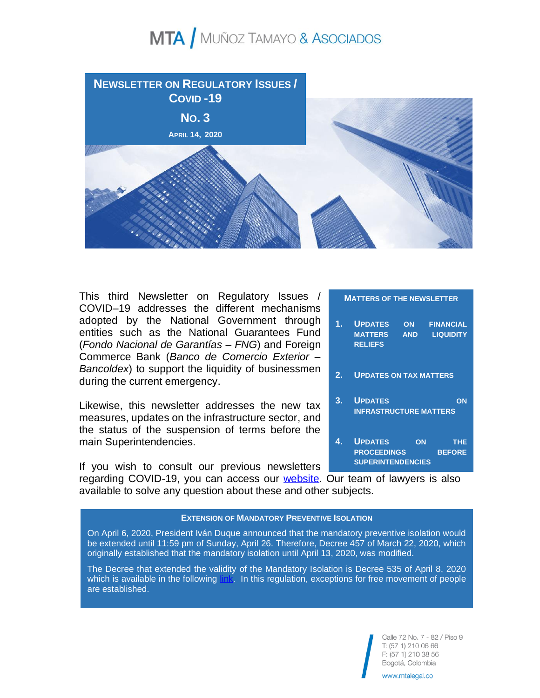

This third Newsletter on Regulatory Issues / COVID–19 addresses the different mechanisms adopted by the National Government through entities such as the National Guarantees Fund (*Fondo Nacional de Garantías – FNG*) and Foreign Commerce Bank (*Banco de Comercio Exterior – Bancoldex*) to support the liquidity of businessmen during the current emergency.

Likewise, this newsletter addresses the new tax measures, updates on the infrastructure sector, and the status of the suspension of terms before the main Superintendencies.

If you wish to consult our previous newsletters

#### **MATTERS OF THE NEWSLETTER**

- **1. UPDATES ON FINANCIAL MATTERS AND LIQUIDITY RELIEFS**
- **2. UPDATES ON TAX MATTERS**
- **3. UPDATES ON INFRASTRUCTURE MATTERS**
- **4. UPDATES ON THE PROCEEDINGS BEFORE SUPERINTENDENCIES**

regarding COVID-19, you can access our [website.](http://mtalegal.co/principales-medidas-tomadas-por-colombia-covid-19/) Our team of lawyers is also available to solve any question about these and other subjects.

#### **EXTENSION OF MANDATORY PREVENTIVE ISOLATION**

On April 6, 2020, President Iván Duque announced that the mandatory preventive isolation would be extended until 11:59 pm of Sunday, April 26. Therefore, Decree 457 of March 22, 2020, which originally established that the mandatory isolation until April 13, 2020, was modified.

The Decree that extended the validity of the Mandatory Isolation is Decree 535 of April 8, 2020 which is available in the following [link.](https://dapre.presidencia.gov.co/normativa/normativa/DECRETO%20531%20DEL%208%20DE%20ABRIL%20DE%202020.pdf) In this regulation, exceptions for free movement of people are established.

> Calle 72 No. 7 - 82 / Piso 9 T: (57 1) 210 06 66 F: (57 1) 210 38 56 Bogotá, Colombia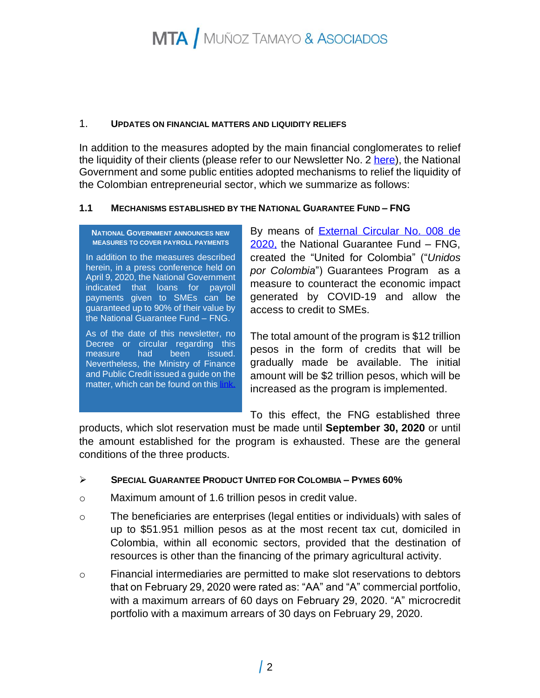#### 1. **UPDATES ON FINANCIAL MATTERS AND LIQUIDITY RELIEFS**

In addition to the measures adopted by the main financial conglomerates to relief the liquidity of their clients (please refer to our Newsletter No. 2 [here\)](http://mtalegal.co/wp-content/uploads/2020/04/MTA-Bolet%C3%ADn-de-Novedades-Reglamentarias-_-Covid-19-No.-2-2-de-abril-de-2020-2.pdf), the National Government and some public entities adopted mechanisms to relief the liquidity of the Colombian entrepreneurial sector, which we summarize as follows:

### **1.1 MECHANISMS ESTABLISHED BY THE NATIONAL GUARANTEE FUND – FNG**

#### **NATIONAL GOVERNMENT ANNOUNCES NEW MEASURES TO COVER PAYROLL PAYMENTS**

In addition to the measures described herein, in a press conference held on April 9, 2020, the National Government indicated that loans for payroll payments given to SMEs can be guaranteed up to 90% of their value by the National Guarantee Fund – FNG.

As of the date of this newsletter, no Decree or circular regarding this measure had been issued. Nevertheless, the Ministry of Finance and Public Credit issued a guide on the matter, which can be found on this link

By means of [External Circular](https://www.fng.gov.co/ES/Documentos%20%20Circulares/CNE-008-2020.pdf) No. 008 de [2020,](https://www.fng.gov.co/ES/Documentos%20%20Circulares/CNE-008-2020.pdf) the National Guarantee Fund – FNG, created the "United for Colombia" ("*Unidos por Colombia*") Guarantees Program as a measure to counteract the economic impact generated by COVID-19 and allow the access to credit to SMEs.

The total amount of the program is \$12 trillion pesos in the form of credits that will be gradually made be available. The initial amount will be \$2 trillion pesos, which will be increased as the program is implemented.

To this effect, the FNG established three

products, which slot reservation must be made until **September 30, 2020** or until the amount established for the program is exhausted. These are the general conditions of the three products.

### ➢ **SPECIAL GUARANTEE PRODUCT UNITED FOR COLOMBIA – PYMES 60%**

- o Maximum amount of 1.6 trillion pesos in credit value.
- $\circ$  The beneficiaries are enterprises (legal entities or individuals) with sales of up to \$51.951 million pesos as at the most recent tax cut, domiciled in Colombia, within all economic sectors, provided that the destination of resources is other than the financing of the primary agricultural activity.
- o Financial intermediaries are permitted to make slot reservations to debtors that on February 29, 2020 were rated as: "AA" and "A" commercial portfolio, with a maximum arrears of 60 days on February 29, 2020. "A" microcredit portfolio with a maximum arrears of 30 days on February 29, 2020.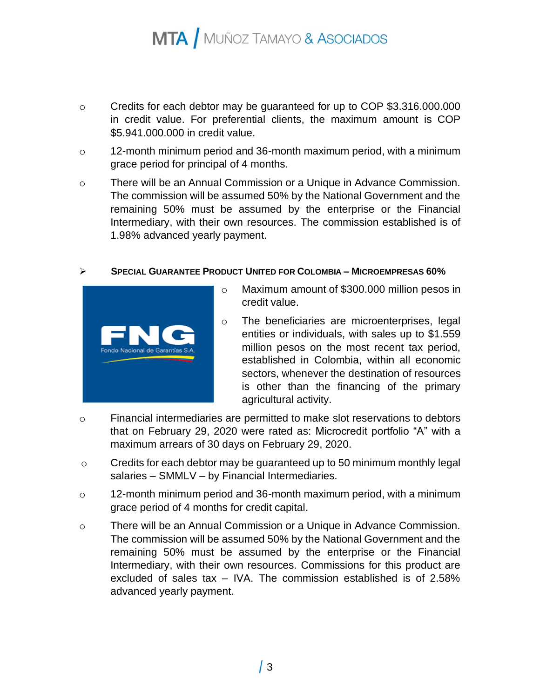- o Credits for each debtor may be guaranteed for up to COP \$3.316.000.000 in credit value. For preferential clients, the maximum amount is COP \$5.941.000.000 in credit value.
- o 12-month minimum period and 36-month maximum period, with a minimum grace period for principal of 4 months.
- o There will be an Annual Commission or a Unique in Advance Commission. The commission will be assumed 50% by the National Government and the remaining 50% must be assumed by the enterprise or the Financial Intermediary, with their own resources. The commission established is of 1.98% advanced yearly payment.

### ➢ **SPECIAL GUARANTEE PRODUCT UNITED FOR COLOMBIA – MICROEMPRESAS 60%**



- o Maximum amount of \$300.000 million pesos in credit value.
- o The beneficiaries are microenterprises, legal entities or individuals, with sales up to \$1.559 million pesos on the most recent tax period, established in Colombia, within all economic sectors, whenever the destination of resources is other than the financing of the primary agricultural activity.
- o Financial intermediaries are permitted to make slot reservations to debtors that on February 29, 2020 were rated as: Microcredit portfolio "A" with a maximum arrears of 30 days on February 29, 2020.
- o Credits for each debtor may be guaranteed up to 50 minimum monthly legal salaries – SMMLV – by Financial Intermediaries.
- o 12-month minimum period and 36-month maximum period, with a minimum grace period of 4 months for credit capital.
- o There will be an Annual Commission or a Unique in Advance Commission. The commission will be assumed 50% by the National Government and the remaining 50% must be assumed by the enterprise or the Financial Intermediary, with their own resources. Commissions for this product are excluded of sales tax – IVA. The commission established is of 2.58% advanced yearly payment.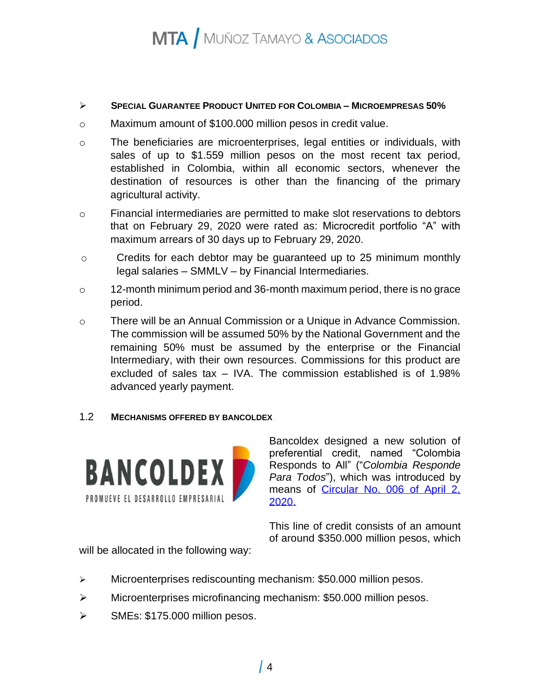### ➢ **SPECIAL GUARANTEE PRODUCT UNITED FOR COLOMBIA – MICROEMPRESAS 50%**

- o Maximum amount of \$100.000 million pesos in credit value.
- o The beneficiaries are microenterprises, legal entities or individuals, with sales of up to \$1.559 million pesos on the most recent tax period, established in Colombia, within all economic sectors, whenever the destination of resources is other than the financing of the primary agricultural activity.
- o Financial intermediaries are permitted to make slot reservations to debtors that on February 29, 2020 were rated as: Microcredit portfolio "A" with maximum arrears of 30 days up to February 29, 2020.
- o Credits for each debtor may be guaranteed up to 25 minimum monthly legal salaries – SMMLV – by Financial Intermediaries.
- o 12-month minimum period and 36-month maximum period, there is no grace period.
- o There will be an Annual Commission or a Unique in Advance Commission. The commission will be assumed 50% by the National Government and the remaining 50% must be assumed by the enterprise or the Financial Intermediary, with their own resources. Commissions for this product are excluded of sales tax – IVA. The commission established is of 1.98% advanced yearly payment.

### 1.2 **MECHANISMS OFFERED BY BANCOLDEX**



Bancoldex designed a new solution of preferential credit, named "Colombia Responds to All" ("*Colombia Responde Para Todos*"), which was introduced by means of Circular No. 006 of April 2, [2020.](https://www.bancoldex.com/sites/default/files/circular_006_abril_2_de_2020_linea_colombia_responde_para_todos.pdf) 

This line of credit consists of an amount of around \$350.000 million pesos, which

will be allocated in the following way:

- $\triangleright$  Microenterprises rediscounting mechanism: \$50.000 million pesos.
- $\triangleright$  Microenterprises microfinancing mechanism: \$50.000 million pesos.
- ➢ SMEs: \$175.000 million pesos.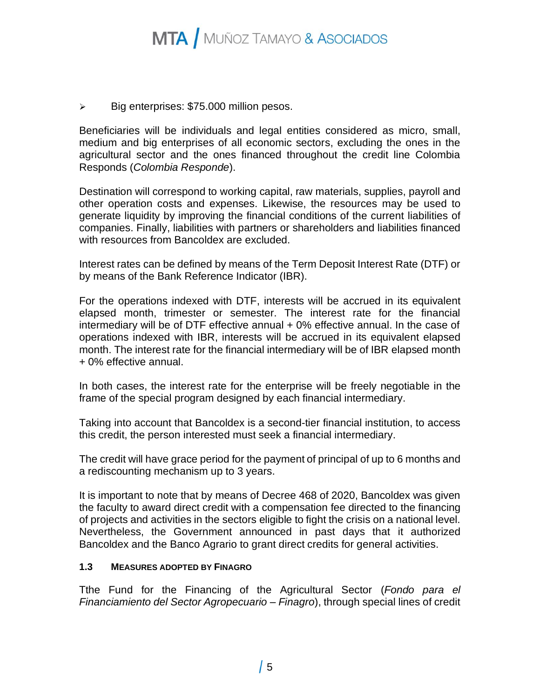➢ Big enterprises: \$75.000 million pesos.

Beneficiaries will be individuals and legal entities considered as micro, small, medium and big enterprises of all economic sectors, excluding the ones in the agricultural sector and the ones financed throughout the credit line Colombia Responds (*Colombia Responde*).

Destination will correspond to working capital, raw materials, supplies, payroll and other operation costs and expenses. Likewise, the resources may be used to generate liquidity by improving the financial conditions of the current liabilities of companies. Finally, liabilities with partners or shareholders and liabilities financed with resources from Bancoldex are excluded.

Interest rates can be defined by means of the Term Deposit Interest Rate (DTF) or by means of the Bank Reference Indicator (IBR).

For the operations indexed with DTF, interests will be accrued in its equivalent elapsed month, trimester or semester. The interest rate for the financial intermediary will be of DTF effective annual + 0% effective annual. In the case of operations indexed with IBR, interests will be accrued in its equivalent elapsed month. The interest rate for the financial intermediary will be of IBR elapsed month + 0% effective annual.

In both cases, the interest rate for the enterprise will be freely negotiable in the frame of the special program designed by each financial intermediary.

Taking into account that Bancoldex is a second-tier financial institution, to access this credit, the person interested must seek a financial intermediary.

The credit will have grace period for the payment of principal of up to 6 months and a rediscounting mechanism up to 3 years.

It is important to note that by means of Decree 468 of 2020, Bancoldex was given the faculty to award direct credit with a compensation fee directed to the financing of projects and activities in the sectors eligible to fight the crisis on a national level. Nevertheless, the Government announced in past days that it authorized Bancoldex and the Banco Agrario to grant direct credits for general activities.

### **1.3 MEASURES ADOPTED BY FINAGRO**

Tthe Fund for the Financing of the Agricultural Sector (*Fondo para el Financiamiento del Sector Agropecuario – Finagro*), through special lines of credit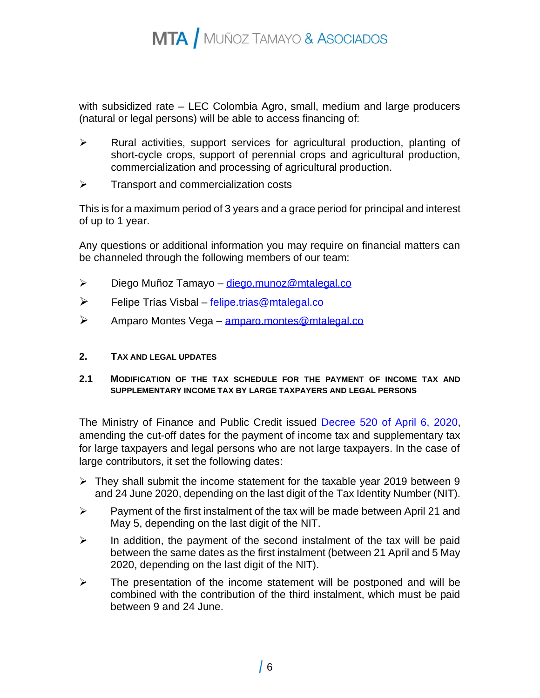with subsidized rate – LEC Colombia Agro, small, medium and large producers (natural or legal persons) will be able to access financing of:

- $\triangleright$  Rural activities, support services for agricultural production, planting of short-cycle crops, support of perennial crops and agricultural production, commercialization and processing of agricultural production.
- ➢ Transport and commercialization costs

This is for a maximum period of 3 years and a grace period for principal and interest of up to 1 year.

Any questions or additional information you may require on financial matters can be channeled through the following members of our team:

- ➢ Diego Muñoz Tamayo [diego.munoz@mtalegal.co](mailto:diego.munoz@mtalegal.co)
- ➢ Felipe Trías Visbal [felipe.trias@mtalegal.co](mailto:fernando.bermudez@mtalegal.co)
- ➢ Amparo Montes Vega [amparo.montes@mtalegal.co](mailto:amparo.montes@mtalegal.co)
- **2. TAX AND LEGAL UPDATES**
- **2.1 MODIFICATION OF THE TAX SCHEDULE FOR THE PAYMENT OF INCOME TAX AND SUPPLEMENTARY INCOME TAX BY LARGE TAXPAYERS AND LEGAL PERSONS**

The Ministry of Finance and Public Credit issued [Decree 520 of April 6,](https://dapre.presidencia.gov.co/normativa/normativa/DECRETO%20520%20DEL%206%20DE%20ABRIL%20DE%202020.pdf) 2020, amending the cut-off dates for the payment of income tax and supplementary tax for large taxpayers and legal persons who are not large taxpayers. In the case of large contributors, it set the following dates:

- $\triangleright$  They shall submit the income statement for the taxable year 2019 between 9 and 24 June 2020, depending on the last digit of the Tax Identity Number (NIT).
- $\triangleright$  Payment of the first instalment of the tax will be made between April 21 and May 5, depending on the last digit of the NIT.
- $\triangleright$  In addition, the payment of the second instalment of the tax will be paid between the same dates as the first instalment (between 21 April and 5 May 2020, depending on the last digit of the NIT).
- $\triangleright$  The presentation of the income statement will be postponed and will be combined with the contribution of the third instalment, which must be paid between 9 and 24 June.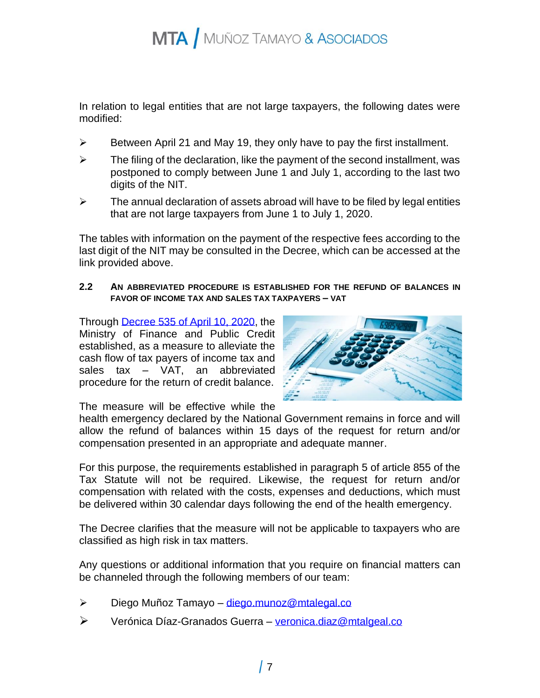In relation to legal entities that are not large taxpayers, the following dates were modified:

- $\triangleright$  Between April 21 and May 19, they only have to pay the first installment.
- $\triangleright$  The filing of the declaration, like the payment of the second installment, was postponed to comply between June 1 and July 1, according to the last two digits of the NIT.
- $\triangleright$  The annual declaration of assets abroad will have to be filed by legal entities that are not large taxpayers from June 1 to July 1, 2020.

The tables with information on the payment of the respective fees according to the last digit of the NIT may be consulted in the Decree, which can be accessed at the link provided above.

### **2.2 AN ABBREVIATED PROCEDURE IS ESTABLISHED FOR THE REFUND OF BALANCES IN FAVOR OF INCOME TAX AND SALES TAX TAXPAYERS – VAT**

Through **Decree 535 of April 10, 2020**, the Ministry of Finance and Public Credit established, as a measure to alleviate the cash flow of tax payers of income tax and sales tax – VAT, an abbreviated procedure for the return of credit balance.



The measure will be effective while the

health emergency declared by the National Government remains in force and will allow the refund of balances within 15 days of the request for return and/or compensation presented in an appropriate and adequate manner.

For this purpose, the requirements established in paragraph 5 of article 855 of the Tax Statute will not be required. Likewise, the request for return and/or compensation with related with the costs, expenses and deductions, which must be delivered within 30 calendar days following the end of the health emergency.

The Decree clarifies that the measure will not be applicable to taxpayers who are classified as high risk in tax matters.

Any questions or additional information that you require on financial matters can be channeled through the following members of our team:

- ➢ Diego Muñoz Tamayo [diego.munoz@mtalegal.co](mailto:diego.munoz@mtalegal.co)
- ➢ Verónica Díaz-Granados Guerra [veronica.diaz@mtalgeal.co](mailto:veronica.diaz@mtalgeal.co)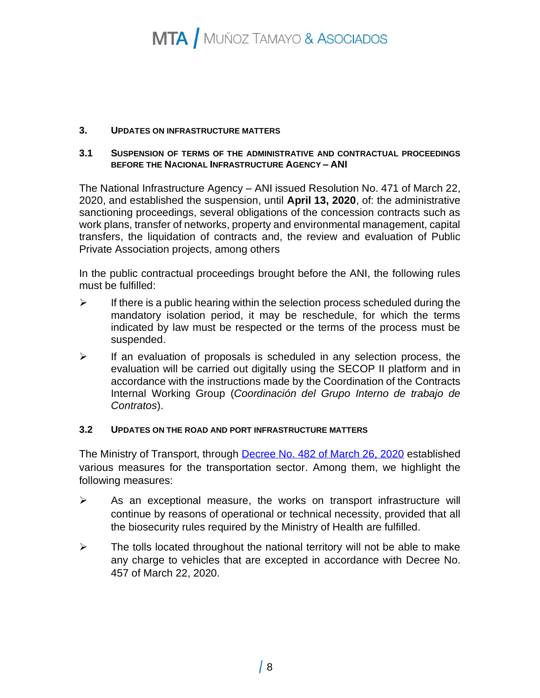#### **3. UPDATES ON INFRASTRUCTURE MATTERS**

#### **3.1 SUSPENSION OF TERMS OF THE ADMINISTRATIVE AND CONTRACTUAL PROCEEDINGS BEFORE THE NACIONAL INFRASTRUCTURE AGENCY – ANI**

The National Infrastructure Agency – ANI issued Resolution No. 471 of March 22, 2020, and established the suspension, until **April 13, 2020**, of: the administrative sanctioning proceedings, several obligations of the concession contracts such as work plans, transfer of networks, property and environmental management, capital transfers, the liquidation of contracts and, the review and evaluation of Public Private Association projects, among others

In the public contractual proceedings brought before the ANI, the following rules must be fulfilled:

- $\triangleright$  If there is a public hearing within the selection process scheduled during the mandatory isolation period, it may be reschedule, for which the terms indicated by law must be respected or the terms of the process must be suspended.
- $\triangleright$  If an evaluation of proposals is scheduled in any selection process, the evaluation will be carried out digitally using the SECOP II platform and in accordance with the instructions made by the Coordination of the Contracts Internal Working Group (*Coordinación del Grupo Interno de trabajo de Contratos*).

### **3.2 UPDATES ON THE ROAD AND PORT INFRASTRUCTURE MATTERS**

The Ministry of Transport, through **Decree No. 482 of March 26, 2020** established various measures for the transportation sector. Among them, we highlight the following measures:

- $\triangleright$  As an exceptional measure, the works on transport infrastructure will continue by reasons of operational or technical necessity, provided that all the biosecurity rules required by the Ministry of Health are fulfilled.
- $\triangleright$  The tolls located throughout the national territory will not be able to make any charge to vehicles that are excepted in accordance with Decree No. 457 of March 22, 2020.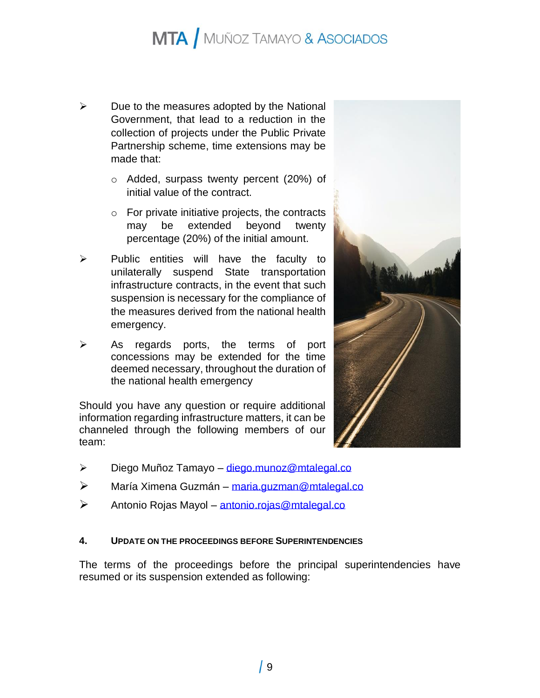- $\triangleright$  Due to the measures adopted by the National Government, that lead to a reduction in the collection of projects under the Public Private Partnership scheme, time extensions may be made that:
	- o Added, surpass twenty percent (20%) of initial value of the contract.
	- $\circ$  For private initiative projects, the contracts may be extended beyond twenty percentage (20%) of the initial amount.
- ➢ Public entities will have the faculty to unilaterally suspend State transportation infrastructure contracts, in the event that such suspension is necessary for the compliance of the measures derived from the national health emergency.
- ➢ As regards ports, the terms of port concessions may be extended for the time deemed necessary, throughout the duration of the national health emergency

Should you have any question or require additional information regarding infrastructure matters, it can be channeled through the following members of our team:

- ➢ Diego Muñoz Tamayo [diego.munoz@mtalegal.co](mailto:diego.munoz@mtalegal.co)
- ➢ María Ximena Guzmán [maria.guzman@mtalegal.co](mailto:maria.guzman@mtalegal.co)
- ➢ Antonio Rojas Mayol [antonio.rojas@mtalegal.co](mailto:antonio.rojas@mtalegal.co)

### **4. UPDATE ON THE PROCEEDINGS BEFORE SUPERINTENDENCIES**

The terms of the proceedings before the principal superintendencies have resumed or its suspension extended as following:

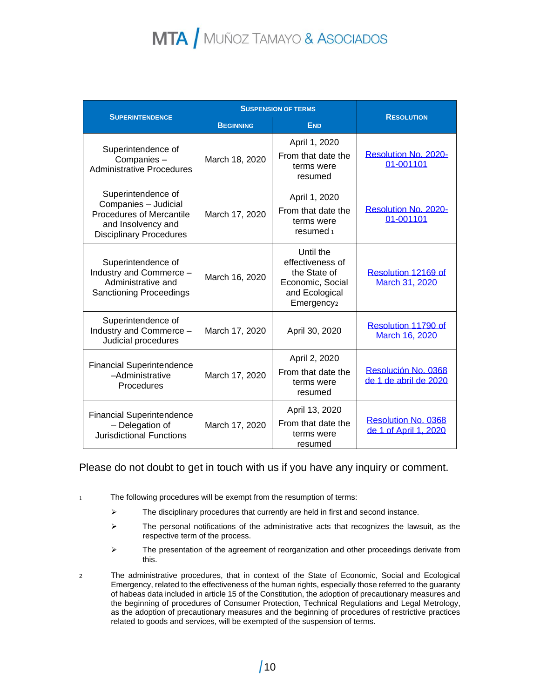| <b>SUPERINTENDENCE</b>                                                                                                                | <b>SUSPENSION OF TERMS</b> |                                                                                                               |                                              |
|---------------------------------------------------------------------------------------------------------------------------------------|----------------------------|---------------------------------------------------------------------------------------------------------------|----------------------------------------------|
|                                                                                                                                       | <b>BEGINNING</b>           | <b>END</b>                                                                                                    | <b>RESOLUTION</b>                            |
| Superintendence of<br>Companies-<br><b>Administrative Procedures</b>                                                                  | March 18, 2020             | April 1, 2020<br>From that date the<br>terms were<br>resumed                                                  | Resolution No. 2020-<br>01-001101            |
| Superintendence of<br>Companies - Judicial<br><b>Procedures of Mercantile</b><br>and Insolvency and<br><b>Disciplinary Procedures</b> | March 17, 2020             | April 1, 2020<br>From that date the<br>terms were<br>resumed <sub>1</sub>                                     | Resolution No. 2020-<br>01-001101            |
| Superintendence of<br>Industry and Commerce -<br>Administrative and<br><b>Sanctioning Proceedings</b>                                 | March 16, 2020             | Until the<br>effectiveness of<br>the State of<br>Economic, Social<br>and Ecological<br>Emergency <sub>2</sub> | Resolution 12169 of<br>March 31, 2020        |
| Superintendence of<br>Industry and Commerce -<br>Judicial procedures                                                                  | March 17, 2020             | April 30, 2020                                                                                                | Resolution 11790 of<br>March 16, 2020        |
| <b>Financial Superintendence</b><br>-Administrative<br>Procedures                                                                     | March 17, 2020             | April 2, 2020<br>From that date the<br>terms were<br>resumed                                                  | Resolución No. 0368<br>de 1 de abril de 2020 |
| <b>Financial Superintendence</b><br>- Delegation of<br><b>Jurisdictional Functions</b>                                                | March 17, 2020             | April 13, 2020<br>From that date the<br>terms were<br>resumed                                                 | Resolution No. 0368<br>de 1 of April 1, 2020 |

### Please do not doubt to get in touch with us if you have any inquiry or comment.

- 1 The following procedures will be exempt from the resumption of terms:
	- $\triangleright$  The disciplinary procedures that currently are held in first and second instance.
	- ➢ The personal notifications of the administrative acts that recognizes the lawsuit, as the respective term of the process.
	- ➢ The presentation of the agreement of reorganization and other proceedings derivate from this.
- 2 The administrative procedures, that in context of the State of Economic, Social and Ecological Emergency, related to the effectiveness of the human rights, especially those referred to the guaranty of habeas data included in article 15 of the Constitution, the adoption of precautionary measures and the beginning of procedures of Consumer Protection, Technical Regulations and Legal Metrology, as the adoption of precautionary measures and the beginning of procedures of restrictive practices related to goods and services, will be exempted of the suspension of terms.